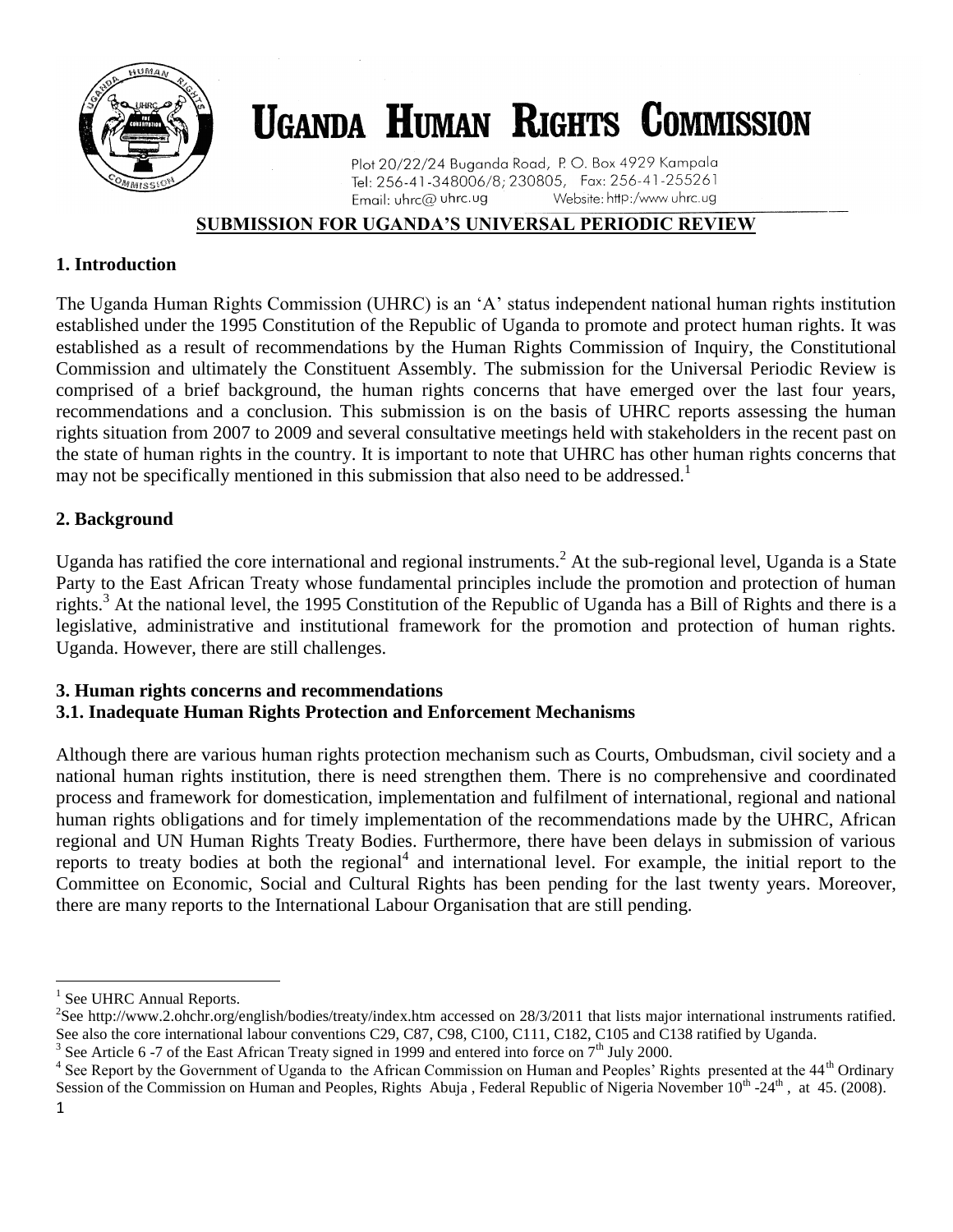

# **UGANDA HUMAN RIGHTS COMMISSION**

Plot 20/22/24 Buganda Road, P. O. Box 4929 Kampala Tel: 256-41-348006/8; 230805, Fax: 256-41-255261 Email: uhrc@ uhrc.ug Website: http:/www.uhrc.ug

## **SUBMISSION FOR UGANDA'S UNIVERSAL PERIODIC REVIEW**

## **1. Introduction**

The Uganda Human Rights Commission (UHRC) is an 'A' status independent national human rights institution established under the 1995 Constitution of the Republic of Uganda to promote and protect human rights. It was established as a result of recommendations by the Human Rights Commission of Inquiry, the Constitutional Commission and ultimately the Constituent Assembly. The submission for the Universal Periodic Review is comprised of a brief background, the human rights concerns that have emerged over the last four years, recommendations and a conclusion. This submission is on the basis of UHRC reports assessing the human rights situation from 2007 to 2009 and several consultative meetings held with stakeholders in the recent past on the state of human rights in the country. It is important to note that UHRC has other human rights concerns that may not be specifically mentioned in this submission that also need to be addressed.<sup>1</sup>

## **2. Background**

Uganda has ratified the core international and regional instruments.<sup>2</sup> At the sub-regional level, Uganda is a State Party to the East African Treaty whose fundamental principles include the promotion and protection of human rights.<sup>3</sup> At the national level, the 1995 Constitution of the Republic of Uganda has a Bill of Rights and there is a legislative, administrative and institutional framework for the promotion and protection of human rights. Uganda. However, there are still challenges.

#### **3. Human rights concerns and recommendations 3.1. Inadequate Human Rights Protection and Enforcement Mechanisms**

Although there are various human rights protection mechanism such as Courts, Ombudsman, civil society and a national human rights institution, there is need strengthen them. There is no comprehensive and coordinated process and framework for domestication, implementation and fulfilment of international, regional and national human rights obligations and for timely implementation of the recommendations made by the UHRC, African regional and UN Human Rights Treaty Bodies. Furthermore, there have been delays in submission of various reports to treaty bodies at both the regional<sup>4</sup> and international level. For example, the initial report to the Committee on Economic, Social and Cultural Rights has been pending for the last twenty years. Moreover, there are many reports to the International Labour Organisation that are still pending.

 $\overline{\phantom{a}}$ 

<sup>1</sup> See UHRC Annual Reports.

<sup>&</sup>lt;sup>2</sup>See [http://www.2.ohchr.org/english/bodies/treaty/index.htm accessed on 28/3/2011](http://www.2.ohchr.org/english/bodies/treaty/index.htm%20accessed%20on%2028/3/2011) that lists major international instruments ratified. See also the core international labour conventions C29, C87, C98, C100, C111, C182, C105 and C138 ratified by Uganda.

<sup>&</sup>lt;sup>3</sup> See Article 6 -7 of the East African Treaty signed in 1999 and entered into force on  $7<sup>th</sup>$  July 2000.

<sup>&</sup>lt;sup>4</sup> See Report by the Government of Uganda to the African Commission on Human and Peoples' Rights presented at the  $44<sup>th</sup>$  Ordinary Session of the Commission on Human and Peoples, Rights Abuja, Federal Republic of Nigeria November 10<sup>th</sup> -24<sup>th</sup>, at 45. (2008).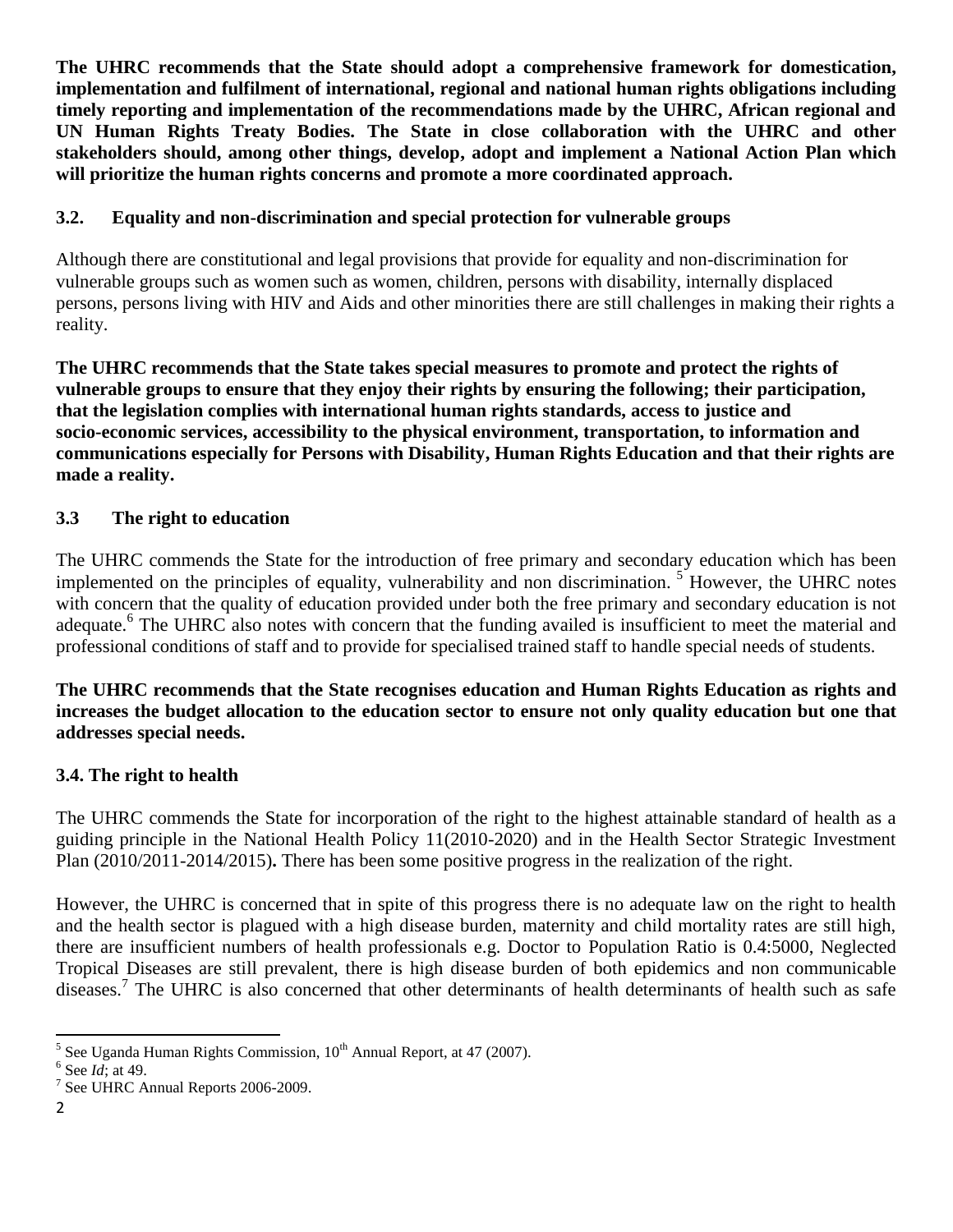**The UHRC recommends that the State should adopt a comprehensive framework for domestication, implementation and fulfilment of international, regional and national human rights obligations including timely reporting and implementation of the recommendations made by the UHRC, African regional and UN Human Rights Treaty Bodies. The State in close collaboration with the UHRC and other stakeholders should, among other things, develop, adopt and implement a National Action Plan which will prioritize the human rights concerns and promote a more coordinated approach.**

## **3.2. Equality and non-discrimination and special protection for vulnerable groups**

Although there are constitutional and legal provisions that provide for equality and non-discrimination for vulnerable groups such as women such as women, children, persons with disability, internally displaced persons, persons living with HIV and Aids and other minorities there are still challenges in making their rights a reality.

**The UHRC recommends that the State takes special measures to promote and protect the rights of vulnerable groups to ensure that they enjoy their rights by ensuring the following; their participation, that the legislation complies with international human rights standards, access to justice and socio-economic services, accessibility to the physical environment, transportation, to information and communications especially for Persons with Disability, Human Rights Education and that their rights are made a reality.** 

#### **3.3 The right to education**

The UHRC commends the State for the introduction of free primary and secondary education which has been implemented on the principles of equality, vulnerability and non discrimination.<sup>5</sup> However, the UHRC notes with concern that the quality of education provided under both the free primary and secondary education is not adequate.<sup>6</sup> The UHRC also notes with concern that the funding availed is insufficient to meet the material and professional conditions of staff and to provide for specialised trained staff to handle special needs of students.

#### **The UHRC recommends that the State recognises education and Human Rights Education as rights and increases the budget allocation to the education sector to ensure not only quality education but one that addresses special needs.**

## **3.4. The right to health**

The UHRC commends the State for incorporation of the right to the highest attainable standard of health as a guiding principle in the National Health Policy 11(2010-2020) and in the Health Sector Strategic Investment Plan (2010/2011-2014/2015)**.** There has been some positive progress in the realization of the right.

However, the UHRC is concerned that in spite of this progress there is no adequate law on the right to health and the health sector is plagued with a high disease burden, maternity and child mortality rates are still high, there are insufficient numbers of health professionals e.g. Doctor to Population Ratio is 0.4:5000, Neglected Tropical Diseases are still prevalent, there is high disease burden of both epidemics and non communicable diseases.<sup>7</sup> The UHRC is also concerned that other determinants of health determinants of health such as safe

<sup>&</sup>lt;sup>5</sup> See Uganda Human Rights Commission, 10<sup>th</sup> Annual Report, at 47 (2007).

<sup>6</sup> See *Id*; at 49.

<sup>&</sup>lt;sup>7</sup> See UHRC Annual Reports 2006-2009.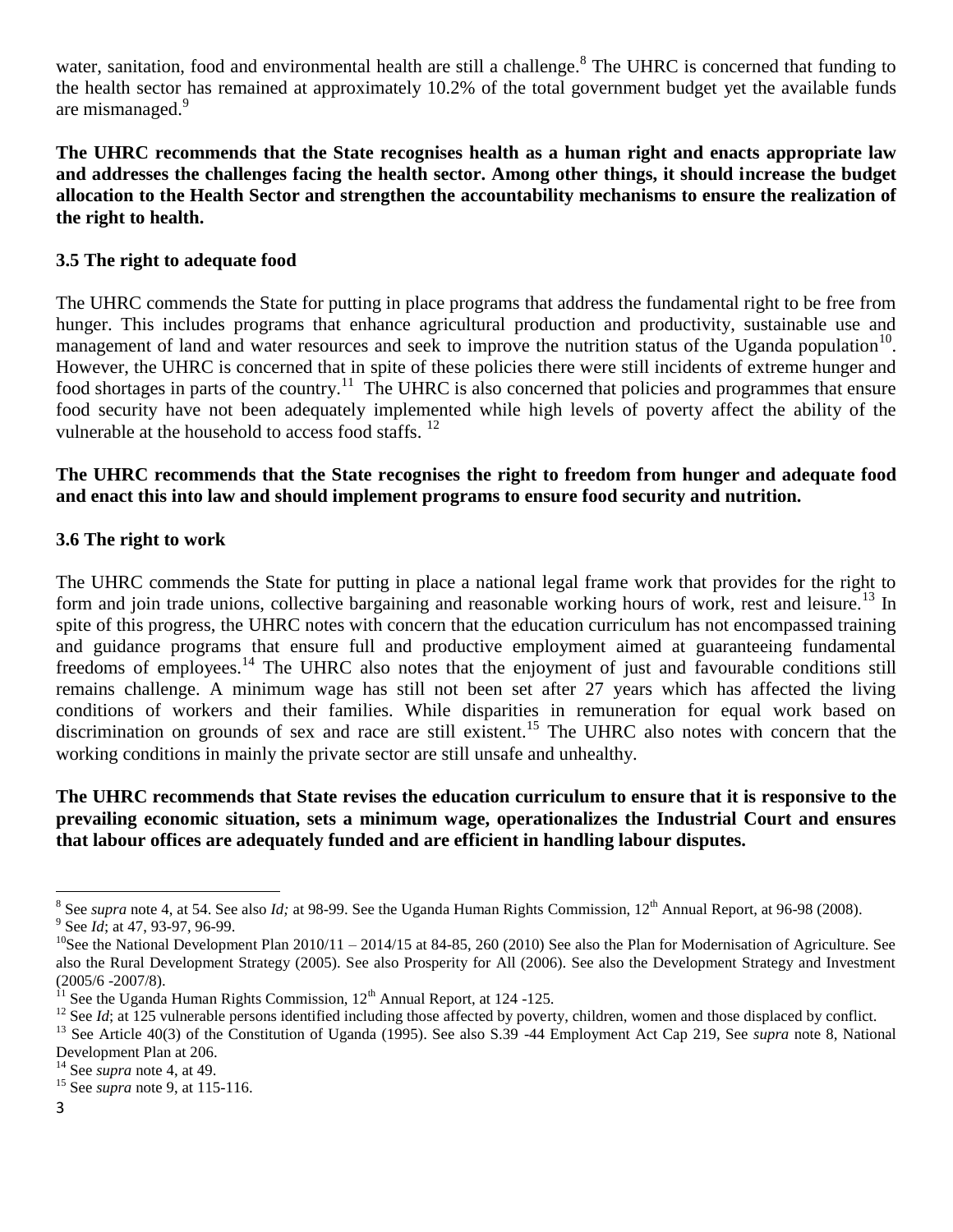water, sanitation, food and environmental health are still a challenge.<sup>8</sup> The UHRC is concerned that funding to the health sector has remained at approximately 10.2% of the total government budget yet the available funds are mismanaged.<sup>9</sup>

**The UHRC recommends that the State recognises health as a human right and enacts appropriate law and addresses the challenges facing the health sector. Among other things, it should increase the budget allocation to the Health Sector and strengthen the accountability mechanisms to ensure the realization of the right to health.**

#### **3.5 The right to adequate food**

The UHRC commends the State for putting in place programs that address the fundamental right to be free from hunger. This includes programs that enhance agricultural production and productivity, sustainable use and management of land and water resources and seek to improve the nutrition status of the Uganda population<sup>10</sup>. However, the UHRC is concerned that in spite of these policies there were still incidents of extreme hunger and food shortages in parts of the country.<sup>11</sup> The UHRC is also concerned that policies and programmes that ensure food security have not been adequately implemented while high levels of poverty affect the ability of the vulnerable at the household to access food staffs.<sup>12</sup>

### **The UHRC recommends that the State recognises the right to freedom from hunger and adequate food and enact this into law and should implement programs to ensure food security and nutrition.**

#### **3.6 The right to work**

The UHRC commends the State for putting in place a national legal frame work that provides for the right to form and join trade unions, collective bargaining and reasonable working hours of work, rest and leisure.<sup>13</sup> In spite of this progress, the UHRC notes with concern that the education curriculum has not encompassed training and guidance programs that ensure full and productive employment aimed at guaranteeing fundamental freedoms of employees.<sup>14</sup> The UHRC also notes that the enjoyment of just and favourable conditions still remains challenge. A minimum wage has still not been set after 27 years which has affected the living conditions of workers and their families. While disparities in remuneration for equal work based on discrimination on grounds of sex and race are still existent.<sup>15</sup> The UHRC also notes with concern that the working conditions in mainly the private sector are still unsafe and unhealthy.

**The UHRC recommends that State revises the education curriculum to ensure that it is responsive to the prevailing economic situation, sets a minimum wage, operationalizes the Industrial Court and ensures that labour offices are adequately funded and are efficient in handling labour disputes.** 

<sup>&</sup>lt;sup>8</sup> See *supra* note 4, at 54. See also *Id*; at 98-99. See the Uganda Human Rights Commission, 12<sup>th</sup> Annual Report, at 96-98 (2008). <sup>9</sup> See *Id*; at 47, 93-97, 96-99.

<sup>&</sup>lt;sup>10</sup>See the National Development Plan  $2010/11 - 2014/15$  at 84-85, 260 (2010) See also the Plan for Modernisation of Agriculture. See also the Rural Development Strategy (2005). See also Prosperity for All (2006). See also the Development Strategy and Investment (2005/6 -2007/8).

See the Uganda Human Rights Commission,  $12<sup>th</sup>$  Annual Report, at 124 -125.

<sup>&</sup>lt;sup>12</sup> See *Id*; at 125 vulnerable persons identified including those affected by poverty, children, women and those displaced by conflict.

<sup>13</sup> See Article 40(3) of the Constitution of Uganda (1995). See also S.39 -44 Employment Act Cap 219, See *supra* note 8, National Development Plan at 206.

<sup>14</sup> See *supra* note 4, at 49.

<sup>15</sup> See *supra* note 9, at 115-116.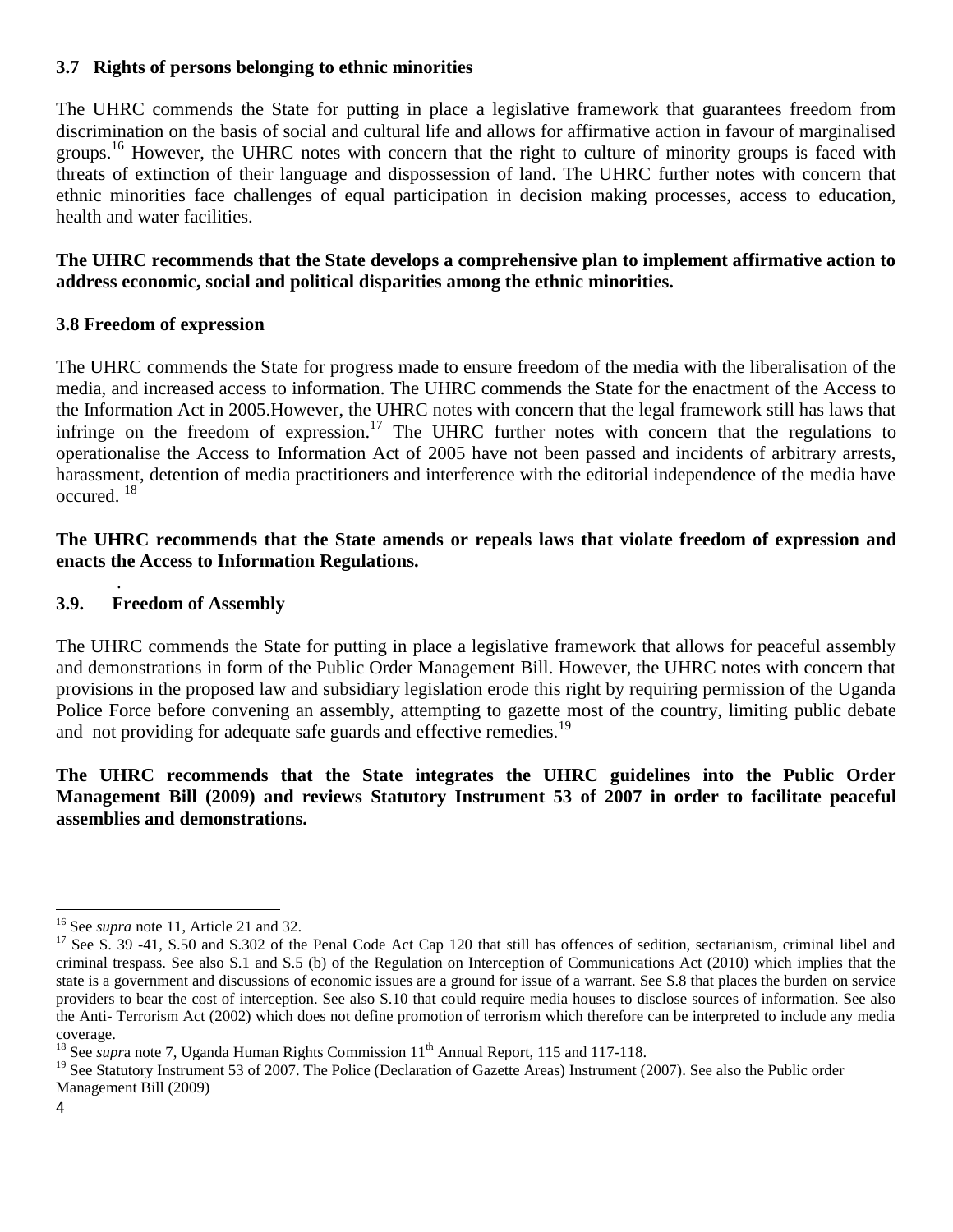## **3.7 Rights of persons belonging to ethnic minorities**

The UHRC commends the State for putting in place a legislative framework that guarantees freedom from discrimination on the basis of social and cultural life and allows for affirmative action in favour of marginalised groups.<sup>16</sup> However, the UHRC notes with concern that the right to culture of minority groups is faced with threats of extinction of their language and dispossession of land. The UHRC further notes with concern that ethnic minorities face challenges of equal participation in decision making processes, access to education, health and water facilities.

### **The UHRC recommends that the State develops a comprehensive plan to implement affirmative action to address economic, social and political disparities among the ethnic minorities.**

## **3.8 Freedom of expression**

The UHRC commends the State for progress made to ensure freedom of the media with the liberalisation of the media, and increased access to information. The UHRC commends the State for the enactment of the Access to the Information Act in 2005.However, the UHRC notes with concern that the legal framework still has laws that infringe on the freedom of expression.<sup>17</sup> The UHRC further notes with concern that the regulations to operationalise the Access to Information Act of 2005 have not been passed and incidents of arbitrary arrests, harassment, detention of media practitioners and interference with the editorial independence of the media have occured. <sup>18</sup>

#### **The UHRC recommends that the State amends or repeals laws that violate freedom of expression and enacts the Access to Information Regulations.**

#### . **3.9. Freedom of Assembly**

The UHRC commends the State for putting in place a legislative framework that allows for peaceful assembly and demonstrations in form of the Public Order Management Bill. However, the UHRC notes with concern that provisions in the proposed law and subsidiary legislation erode this right by requiring permission of the Uganda Police Force before convening an assembly, attempting to gazette most of the country, limiting public debate and not providing for adequate safe guards and effective remedies.<sup>19</sup>

#### **The UHRC recommends that the State integrates the UHRC guidelines into the Public Order Management Bill (2009) and reviews Statutory Instrument 53 of 2007 in order to facilitate peaceful assemblies and demonstrations.**

 $\overline{a}$ <sup>16</sup> See *supra* note 11, Article 21 and 32.

<sup>&</sup>lt;sup>17</sup> See S. 39 -41, S.50 and S.302 of the Penal Code Act Cap 120 that still has offences of sedition, sectarianism, criminal libel and criminal trespass. See also S.1 and S.5 (b) of the Regulation on Interception of Communications Act (2010) which implies that the state is a government and discussions of economic issues are a ground for issue of a warrant. See S.8 that places the burden on service providers to bear the cost of interception. See also S.10 that could require media houses to disclose sources of information. See also the Anti- Terrorism Act (2002) which does not define promotion of terrorism which therefore can be interpreted to include any media coverage.

<sup>&</sup>lt;sup>18</sup> See *supra* note 7, Uganda Human Rights Commission 11<sup>th</sup> Annual Report, 115 and 117-118.

<sup>&</sup>lt;sup>19</sup> See Statutory Instrument 53 of 2007. The Police (Declaration of Gazette Areas) Instrument (2007). See also the Public order Management Bill (2009)